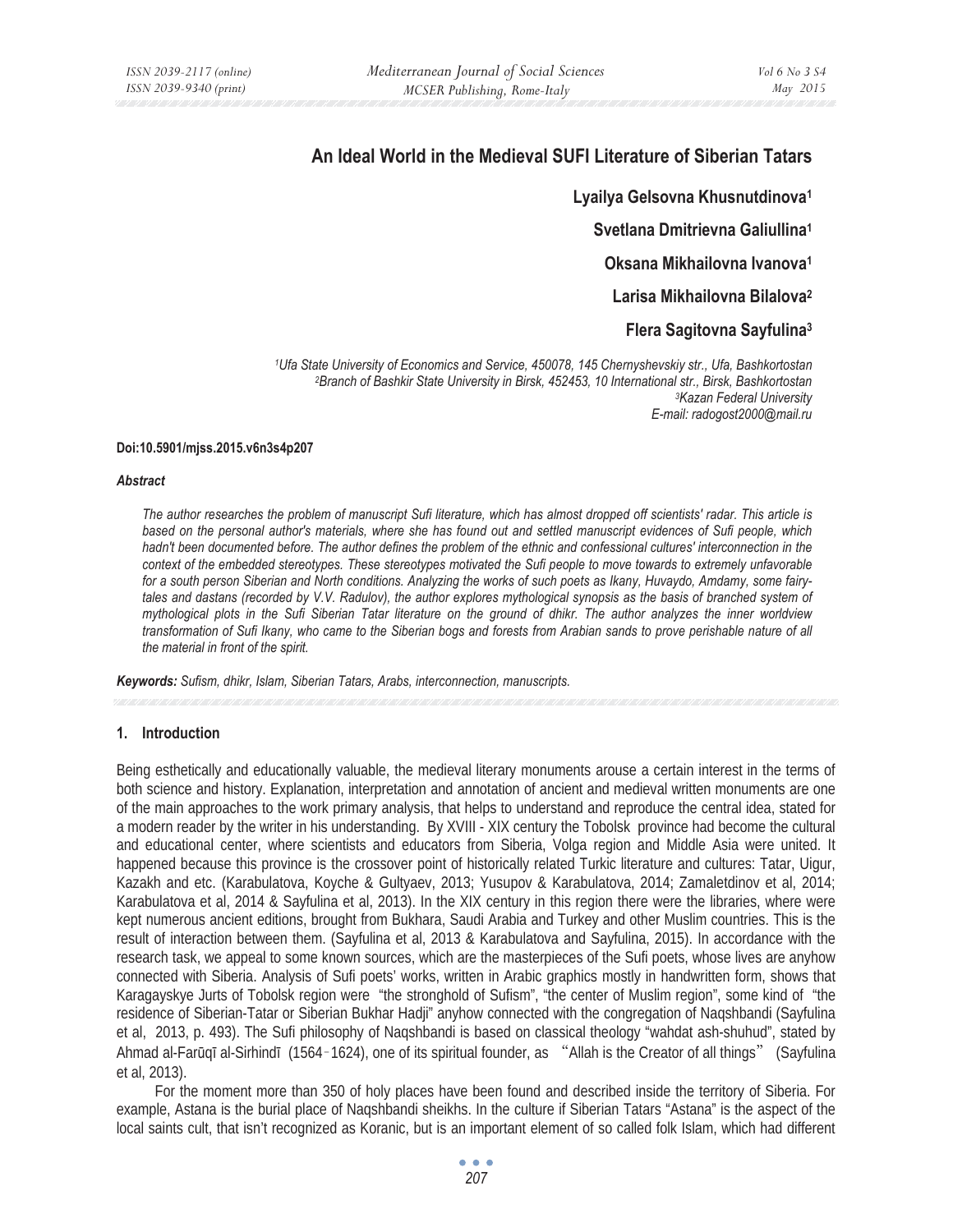# **An Ideal World in the Medieval SUFI Literature of Siberian Tatars**

**Lyailya Gelsovna Khusnutdinova1**

**Svetlana Dmitrievna Galiullina1**

**Oksana Mikhailovna Ivanova1**

**Larisa Mikhailovna Bilalova2**

# **Flera Sagitovna Sayfulina3**

Ufa State University of Economics and Service, 450078, 145 Chernyshevskiy str., Ufa, Bashkortostan<sup>2</sup><br>Branch of Bashkir State University in Birsk, 452453, 10 International str., Birsk, Bashkortostan<sup>2</sup> *E-mail: radogost2000@mail.ru* 

#### **Doi:10.5901/mjss.2015.v6n3s4p207**

#### *Abstract*

*The author researches the problem of manuscript Sufi literature, which has almost dropped off scientists' radar. This article is based on the personal author's materials, where she has found out and settled manuscript evidences of Sufi people, which hadn't been documented before. The author defines the problem of the ethnic and confessional cultures' interconnection in the context of the embedded stereotypes. These stereotypes motivated the Sufi people to move towards to extremely unfavorable for a south person Siberian and North conditions. Analyzing the works of such poets as Ikany, Huvaydo, Amdamy, some fairytales and dastans (recorded by V.V. Radulov), the author explores mythological synopsis as the basis of branched system of mythological plots in the Sufi Siberian Tatar literature on the ground of dhikr. The author analyzes the inner worldview transformation of Sufi Ikany, who came to the Siberian bogs and forests from Arabian sands to prove perishable nature of all the material in front of the spirit.* 

*Keywords: Sufism, dhikr, Islam, Siberian Tatars, Arabs, interconnection, manuscripts.*

# **1. Introduction**

Being esthetically and educationally valuable, the medieval literary monuments arouse a certain interest in the terms of both science and history. Explanation, interpretation and annotation of ancient and medieval written monuments are one of the main approaches to the work primary analysis, that helps to understand and reproduce the central idea, stated for a modern reader by the writer in his understanding. By XVIII - XIX century the Tobolsk province had become the cultural and educational center, where scientists and educators from Siberia, Volga region and Middle Asia were united. It happened because this province is the crossover point of historically related Turkic literature and cultures: Tatar, Uigur, Kazakh and etc. (Karabulatova, Koyche & Gultyaev, 2013; Yusupov & Karabulatova, 2014; Zamaletdinov et al, 2014; Karabulatova et al, 2014 & Sayfulina et al, 2013). In the XIX century in this region there were the libraries, where were kept numerous ancient editions, brought from Bukhara, Saudi Arabia and Turkey and other Muslim countries. This is the result of interaction between them. (Sayfulina et al, 2013 & Karabulatova and Sayfulina, 2015). In accordance with the research task, we appeal to some known sources, which are the masterpieces of the Sufi poets, whose lives are anyhow connected with Siberia. Analysis of Sufi poets' works, written in Arabic graphics mostly in handwritten form, shows that Karagayskye Jurts of Tobolsk region were "the stronghold of Sufism", "the center of Muslim region", some kind of "the residence of Siberian-Tatar or Siberian Bukhar Hadji" anyhow connected with the congregation of Naqshbandi (Sayfulina et al, 2013, p. 493). The Sufi philosophy of Naqshbandi is based on classical theology "wahdat ash-shuhud", stated by Ahmad al-Farūqī al-Sirhindī (1564-1624), one of its spiritual founder, as "Allah is the Creator of all things" (Sayfulina et al, 2013).

For the moment more than 350 of holy places have been found and described inside the territory of Siberia. For example, Astana is the burial place of Naqshbandi sheikhs. In the culture if Siberian Tatars "Astana" is the aspect of the local saints cult, that isn't recognized as Koranic, but is an important element of so called folk Islam, which had different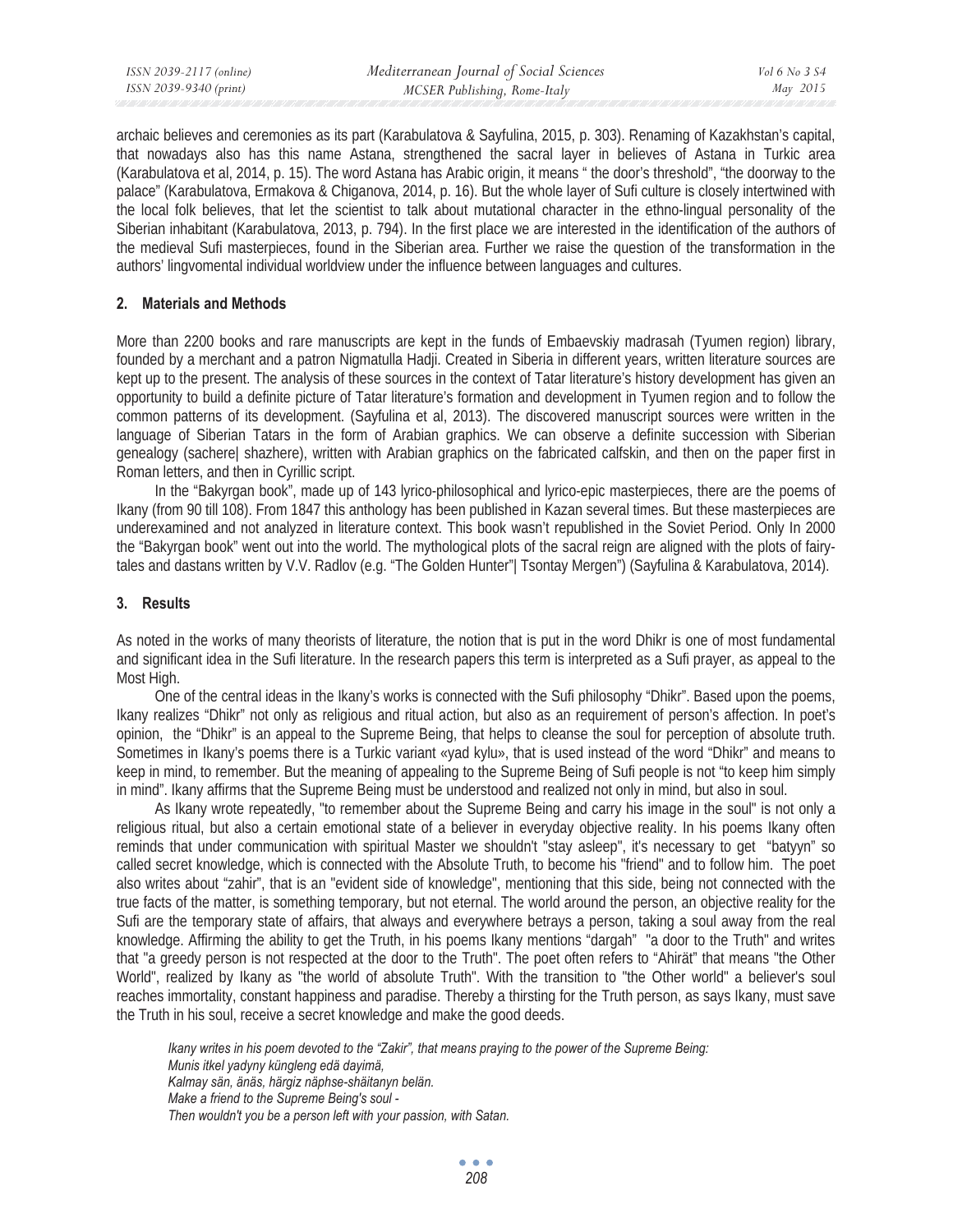| ISSN 2039-2117 (online) | Mediterranean Journal of Social Sciences | Vol 6 No 3 S4 |
|-------------------------|------------------------------------------|---------------|
| ISSN 2039-9340 (print)  | MCSER Publishing, Rome-Italy             | May 2015      |

archaic believes and ceremonies as its part (Karabulatova & Sayfulina, 2015, p. 303). Renaming of Kazakhstan's capital, that nowadays also has this name Astana, strengthened the sacral layer in believes of Astana in Turkic area (Karabulatova et al, 2014, p. 15). The word Astana has Arabic origin, it means " the door's threshold", "the doorway to the palace" (Karabulatova, Ermakova & Chiganova, 2014, p. 16). But the whole layer of Sufi culture is closely intertwined with the local folk believes, that let the scientist to talk about mutational character in the ethno-lingual personality of the Siberian inhabitant (Karabulatova, 2013, p. 794). In the first place we are interested in the identification of the authors of the medieval Sufi masterpieces, found in the Siberian area. Further we raise the question of the transformation in the authors' lingvomental individual worldview under the influence between languages and cultures.

### **2. Materials and Methods**

More than 2200 books and rare manuscripts are kept in the funds of Embaevskiy madrasah (Tyumen region) library, founded by a merchant and a patron Nigmatulla Hadji. Created in Siberia in different years, written literature sources are kept up to the present. The analysis of these sources in the context of Tatar literature's history development has given an opportunity to build a definite picture of Tatar literature's formation and development in Tyumen region and to follow the common patterns of its development. (Sayfulina et al, 2013). The discovered manuscript sources were written in the language of Siberian Tatars in the form of Arabian graphics. We can observe a definite succession with Siberian genealogy (sachere| shazhere), written with Arabian graphics on the fabricated calfskin, and then on the paper first in Roman letters, and then in Cyrillic script.

In the "Bakyrgan book", made up of 143 lyrico-philosophical and lyrico-epic masterpieces, there are the poems of Ikany (from 90 till 108). From 1847 this anthology has been published in Kazan several times. But these masterpieces are underexamined and not analyzed in literature context. This book wasn't republished in the Soviet Period. Only In 2000 the "Bakyrgan book" went out into the world. The mythological plots of the sacral reign are aligned with the plots of fairytales and dastans written by V.V. Radlov (e.g. "The Golden Hunter"| Tsontay Mergen") (Sayfulina & Karabulatova, 2014).

#### **3. Results**

As noted in the works of many theorists of literature, the notion that is put in the word Dhikr is one of most fundamental and significant idea in the Sufi literature. In the research papers this term is interpreted as a Sufi prayer, as appeal to the Most High.

One of the central ideas in the Ikany's works is connected with the Sufi philosophy "Dhikr". Based upon the poems, Ikany realizes "Dhikr" not only as religious and ritual action, but also as an requirement of person's affection. In poet's opinion, the "Dhikr" is an appeal to the Supreme Being, that helps to cleanse the soul for perception of absolute truth. Sometimes in Ikany's poems there is a Turkic variant «yad kylu», that is used instead of the word "Dhikr" and means to keep in mind, to remember. But the meaning of appealing to the Supreme Being of Sufi people is not "to keep him simply in mind". Ikany affirms that the Supreme Being must be understood and realized not only in mind, but also in soul.

As Ikany wrote repeatedly, "to remember about the Supreme Being and carry his image in the soul" is not only a religious ritual, but also a certain emotional state of a believer in everyday objective reality. In his poems Ikany often reminds that under communication with spiritual Master we shouldn't "stay asleep", it's necessary to get "batyyn" so called secret knowledge, which is connected with the Absolute Truth, to become his "friend" and to follow him. The poet also writes about "zahir", that is an "evident side of knowledge", mentioning that this side, being not connected with the true facts of the matter, is something temporary, but not eternal. The world around the person, an objective reality for the Sufi are the temporary state of affairs, that always and everywhere betrays a person, taking a soul away from the real knowledge. Affirming the ability to get the Truth, in his poems Ikany mentions "dargah" "a door to the Truth" and writes that "a greedy person is not respected at the door to the Truth". The poet often refers to "Ahirät" that means "the Other World", realized by Ikany as "the world of absolute Truth". With the transition to "the Other world" a believer's soul reaches immortality, constant happiness and paradise. Thereby a thirsting for the Truth person, as says Ikany, must save the Truth in his soul, receive a secret knowledge and make the good deeds.

*Ikany writes in his poem devoted to the "Zakir", that means praying to the power of the Supreme Being: Munis itkel yadyny küngleng edä dayimä, Kalmay sän, änäs, härgiz näphse-shäitanyn belän. Make a friend to the Supreme Being's soul - Then wouldn't you be a person left with your passion, with Satan.*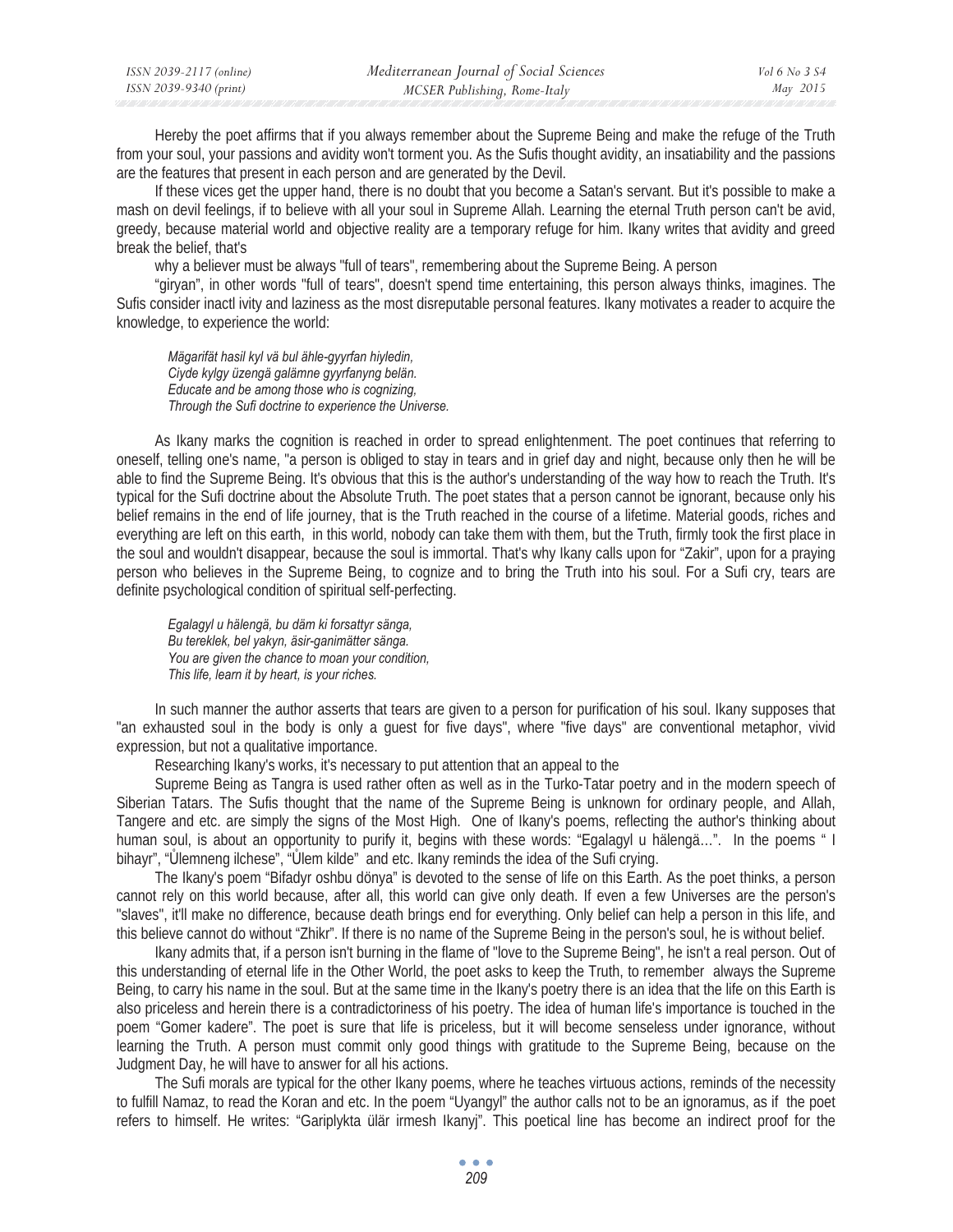| ISSN 2039-2117 (online) | Mediterranean Journal of Social Sciences | Vol 6 No 3 S4 |
|-------------------------|------------------------------------------|---------------|
| ISSN 2039-9340 (print)  | MCSER Publishing, Rome-Italy             | May 2015      |

Hereby the poet affirms that if you always remember about the Supreme Being and make the refuge of the Truth from your soul, your passions and avidity won't torment you. As the Sufis thought avidity, an insatiability and the passions are the features that present in each person and are generated by the Devil.

If these vices get the upper hand, there is no doubt that you become a Satan's servant. But it's possible to make a mash on devil feelings, if to believe with all your soul in Supreme Allah. Learning the eternal Truth person can't be avid, greedy, because material world and objective reality are a temporary refuge for him. Ikany writes that avidity and greed break the belief, that's

why a believer must be always "full of tears", remembering about the Supreme Being. A person

"giryan", in other words "full of tears", doesn't spend time entertaining, this person always thinks, imagines. The Sufis consider inactl ivity and laziness as the most disreputable personal features. Ikany motivates a reader to acquire the knowledge, to experience the world:

*Mägarifät hasil kyl vä bul ähle-gyyrfan hiyledin, Ciyde kylgy üzengä galämne gyyrfanyng belän. Educate and be among those who is cognizing, Through the Sufi doctrine to experience the Universe.* 

As Ikany marks the cognition is reached in order to spread enlightenment. The poet continues that referring to oneself, telling one's name, "a person is obliged to stay in tears and in grief day and night, because only then he will be able to find the Supreme Being. It's obvious that this is the author's understanding of the way how to reach the Truth. It's typical for the Sufi doctrine about the Absolute Truth. The poet states that a person cannot be ignorant, because only his belief remains in the end of life journey, that is the Truth reached in the course of a lifetime. Material goods, riches and everything are left on this earth, in this world, nobody can take them with them, but the Truth, firmly took the first place in the soul and wouldn't disappear, because the soul is immortal. That's why Ikany calls upon for "Zakir", upon for a praying person who believes in the Supreme Being, to cognize and to bring the Truth into his soul. For a Sufi cry, tears are definite psychological condition of spiritual self-perfecting.

*Egalagyl u hälengä, bu däm ki forsattyr sänga, Bu tereklek, bel yakyn, äsir-ganimätter sänga. You are given the chance to moan your condition, This life, learn it by heart, is your riches.* 

In such manner the author asserts that tears are given to a person for purification of his soul. Ikany supposes that "an exhausted soul in the body is only a guest for five days", where "five days" are conventional metaphor, vivid expression, but not a qualitative importance.

Researching Ikany's works, it's necessary to put attention that an appeal to the

Supreme Being as Tangra is used rather often as well as in the Turko-Tatar poetry and in the modern speech of Siberian Tatars. The Sufis thought that the name of the Supreme Being is unknown for ordinary people, and Allah, Tangere and etc. are simply the signs of the Most High. One of Ikany's poems, reflecting the author's thinking about human soul, is about an opportunity to purify it, begins with these words: "Egalagyl u hälengä…". In the poems " I bihayr", "Ülemneng ilchese", "Ülem kilde" and etc. Ikany reminds the idea of the Sufi crying.

The Ikany's poem "Bifadyr oshbu dönya" is devoted to the sense of life on this Earth. As the poet thinks, a person cannot rely on this world because, after all, this world can give only death. If even a few Universes are the person's "slaves", it'll make no difference, because death brings end for everything. Only belief can help a person in this life, and this believe cannot do without "Zhikr". If there is no name of the Supreme Being in the person's soul, he is without belief.

Ikany admits that, if a person isn't burning in the flame of "love to the Supreme Being", he isn't a real person. Out of this understanding of eternal life in the Other World, the poet asks to keep the Truth, to remember always the Supreme Being, to carry his name in the soul. But at the same time in the Ikany's poetry there is an idea that the life on this Earth is also priceless and herein there is a contradictoriness of his poetry. The idea of human life's importance is touched in the poem "Gomer kadere". The poet is sure that life is priceless, but it will become senseless under ignorance, without learning the Truth. A person must commit only good things with gratitude to the Supreme Being, because on the Judgment Day, he will have to answer for all his actions.

The Sufi morals are typical for the other Ikany poems, where he teaches virtuous actions, reminds of the necessity to fulfill Namaz, to read the Koran and etc. In the poem "Uyangyl" the author calls not to be an ignoramus, as if the poet refers to himself. He writes: "Gariplykta ülär irmesh Ikanyj". This poetical line has become an indirect proof for the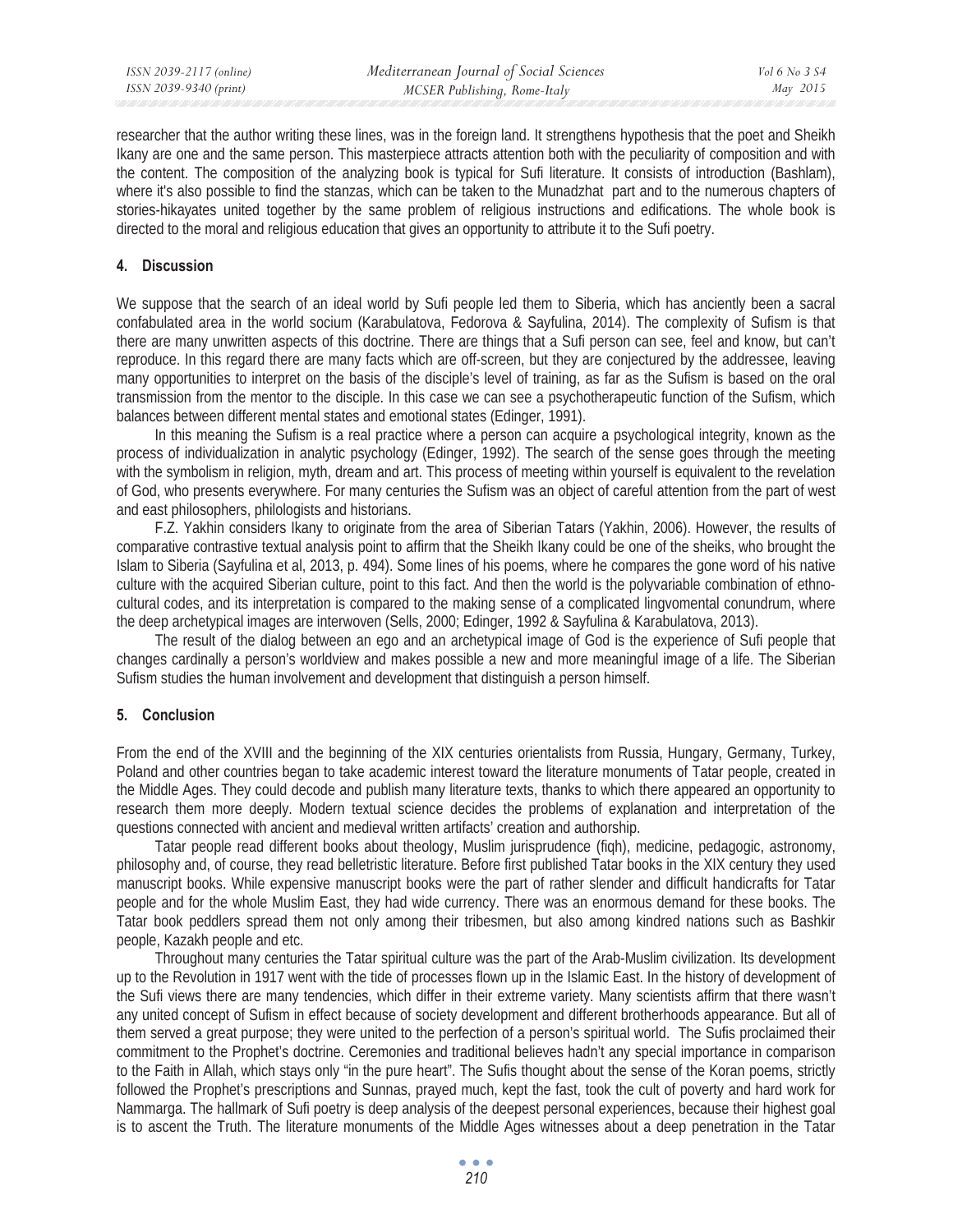researcher that the author writing these lines, was in the foreign land. It strengthens hypothesis that the poet and Sheikh Ikany are one and the same person. This masterpiece attracts attention both with the peculiarity of composition and with the content. The composition of the analyzing book is typical for Sufi literature. It consists of introduction (Bashlam), where it's also possible to find the stanzas, which can be taken to the Munadzhat part and to the numerous chapters of stories-hikayates united together by the same problem of religious instructions and edifications. The whole book is directed to the moral and religious education that gives an opportunity to attribute it to the Sufi poetry.

## **4. Discussion**

We suppose that the search of an ideal world by Sufi people led them to Siberia, which has anciently been a sacral confabulated area in the world socium (Karabulatova, Fedorova & Sayfulina, 2014). The complexity of Sufism is that there are many unwritten aspects of this doctrine. There are things that a Sufi person can see, feel and know, but can't reproduce. In this regard there are many facts which are off-screen, but they are conjectured by the addressee, leaving many opportunities to interpret on the basis of the disciple's level of training, as far as the Sufism is based on the oral transmission from the mentor to the disciple. In this case we can see a psychotherapeutic function of the Sufism, which balances between different mental states and emotional states (Edinger, 1991).

In this meaning the Sufism is a real practice where a person can acquire a psychological integrity, known as the process of individualization in analytic psychology (Edinger, 1992). The search of the sense goes through the meeting with the symbolism in religion, myth, dream and art. This process of meeting within yourself is equivalent to the revelation of God, who presents everywhere. For many centuries the Sufism was an object of careful attention from the part of west and east philosophers, philologists and historians.

F.Z. Yakhin considers Ikany to originate from the area of Siberian Tatars (Yakhin, 2006). However, the results of comparative contrastive textual analysis point to affirm that the Sheikh Ikany could be one of the sheiks, who brought the Islam to Siberia (Sayfulina et al, 2013, p. 494). Some lines of his poems, where he compares the gone word of his native culture with the acquired Siberian culture, point to this fact. And then the world is the polyvariable combination of ethnocultural codes, and its interpretation is compared to the making sense of a complicated lingvomental conundrum, where the deep archetypical images are interwoven (Sells, 2000; Edinger, 1992 & Sayfulina & Karabulatova, 2013).

The result of the dialog between an ego and an archetypical image of God is the experience of Sufi people that changes cardinally a person's worldview and makes possible a new and more meaningful image of a life. The Siberian Sufism studies the human involvement and development that distinguish a person himself.

# **5. Conclusion**

From the end of the XVIII and the beginning of the XIX centuries orientalists from Russia, Hungary, Germany, Turkey, Poland and other countries began to take academic interest toward the literature monuments of Tatar people, created in the Middle Ages. They could decode and publish many literature texts, thanks to which there appeared an opportunity to research them more deeply. Modern textual science decides the problems of explanation and interpretation of the questions connected with ancient and medieval written artifacts' creation and authorship.

Tatar people read different books about theology, Muslim jurisprudence (fiqh), medicine, pedagogic, astronomy, philosophy and, of course, they read belletristic literature. Before first published Tatar books in the XIX century they used manuscript books. While expensive manuscript books were the part of rather slender and difficult handicrafts for Tatar people and for the whole Muslim East, they had wide currency. There was an enormous demand for these books. The Tatar book peddlers spread them not only among their tribesmen, but also among kindred nations such as Bashkir people, Kazakh people and etc.

Throughout many centuries the Tatar spiritual culture was the part of the Arab-Muslim civilization. Its development up to the Revolution in 1917 went with the tide of processes flown up in the Islamic East. In the history of development of the Sufi views there are many tendencies, which differ in their extreme variety. Many scientists affirm that there wasn't any united concept of Sufism in effect because of society development and different brotherhoods appearance. But all of them served a great purpose; they were united to the perfection of a person's spiritual world. The Sufis proclaimed their commitment to the Prophet's doctrine. Ceremonies and traditional believes hadn't any special importance in comparison to the Faith in Allah, which stays only "in the pure heart". The Sufis thought about the sense of the Koran poems, strictly followed the Prophet's prescriptions and Sunnas, prayed much, kept the fast, took the cult of poverty and hard work for Nammarga. The hallmark of Sufi poetry is deep analysis of the deepest personal experiences, because their highest goal is to ascent the Truth. The literature monuments of the Middle Ages witnesses about a deep penetration in the Tatar